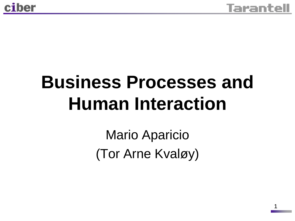## **Business Processes and Human Interaction**

Mario Aparicio (Tor Arne Kvaløy)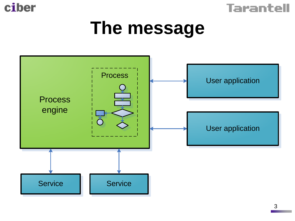



### **The message**

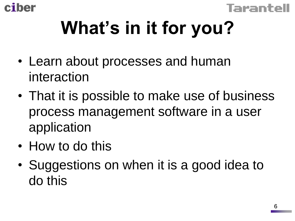



# **What's in it for you?**

- Learn about processes and human interaction
- That it is possible to make use of business process management software in a user application
- How to do this
- Suggestions on when it is a good idea to do this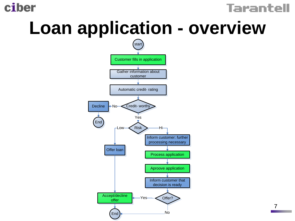ciber

#### Tarantell

## **Loan application - overview**



7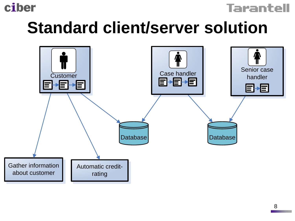

#### **Tarantell**

### **Standard client/server solution**

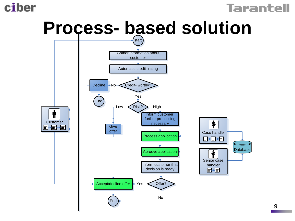

#### **Tarantell**



9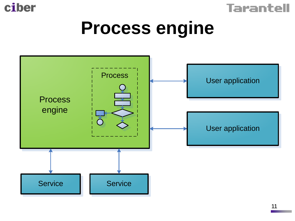



### **Process engine**

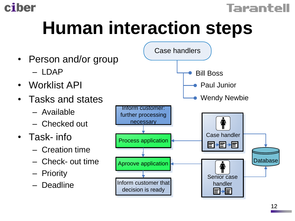



## **Human interaction steps**

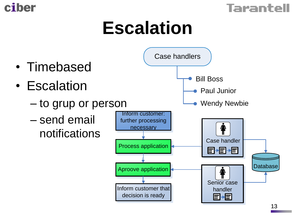



## **Escalation**

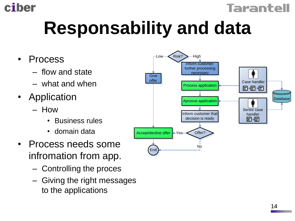



# **Responsability and data**

- Process
	- flow and state
	- what and when
- Application
	- How
		- Business rules
		- domain data
- Process needs some infromation from app.
	- Controlling the proces
	- Giving the right messages

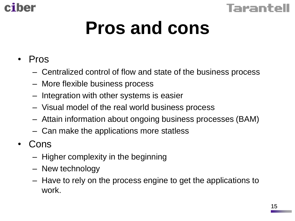



## **Pros and cons**

#### • Pros

- Centralized control of flow and state of the business process
- More flexible business process
- Integration with other systems is easier
- Visual model of the real world business process
- Attain information about ongoing business processes (BAM)
- Can make the applications more statless
- Cons
	- Higher complexity in the beginning
	- New technology
	- Have to rely on the process engine to get the applications to work.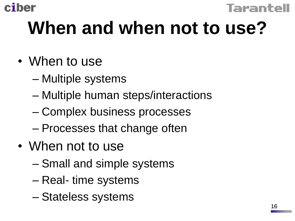



## **When and when not to use?**

- When to use
	- Multiple systems
	- Multiple human steps/interactions
	- Complex business processes
	- Processes that change often
- When not to use
	- Small and simple systems
	- Real- time systems
	- Stateless systems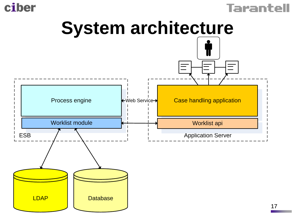

LDAP





**Database**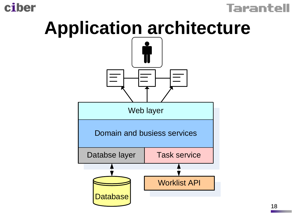#### ciber



## **Application architecture**

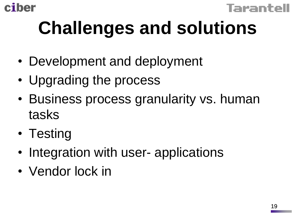



# **Challenges and solutions**

- Development and deployment
- Upgrading the process
- Business process granularity vs. human tasks
- Testing
- Integration with user- applications
- Vendor lock in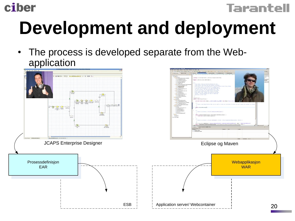



# **Development and deployment**

The process is developed separate from the Webapplication

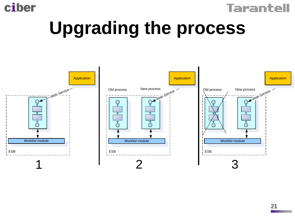



## **Upgrading the process**

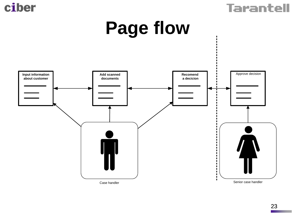



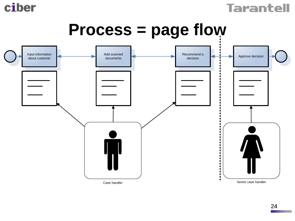



### **Process = page flow**

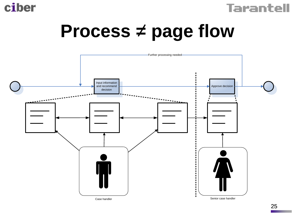



## **Process = page flow**

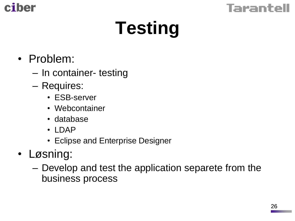



# **Testing**

- Problem:
	- In container- testing
	- Requires:
		- ESB-server
		- Webcontainer
		- database
		- LDAP
		- Eclipse and Enterprise Designer
- Løsning:
	- Develop and test the application separete from the business process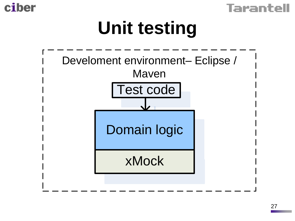



## **Unit testing**

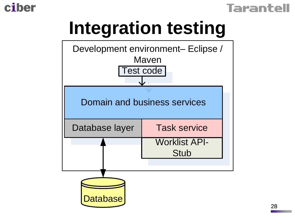

#### Tarantell

## **Integration testing**

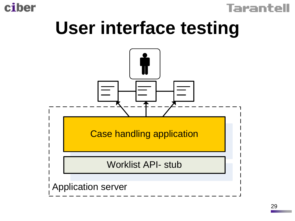



## **User interface testing**

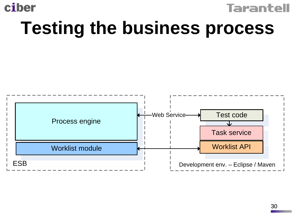



## **Testing the business process**

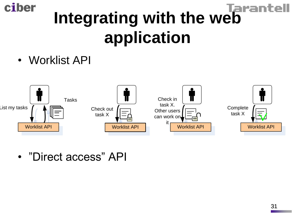# **Integrating with the web application**

• Worklist API

ciber



• "Direct access" API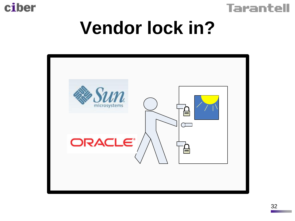



## **Vendor lock in?**

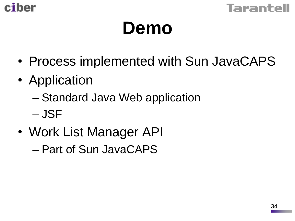



## **Demo**

- Process implemented with Sun JavaCAPS
- Application
	- Standard Java Web application

– JSF

• Work List Manager API

– Part of Sun JavaCAPS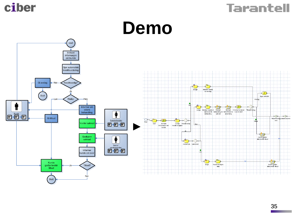



#### **Demo**